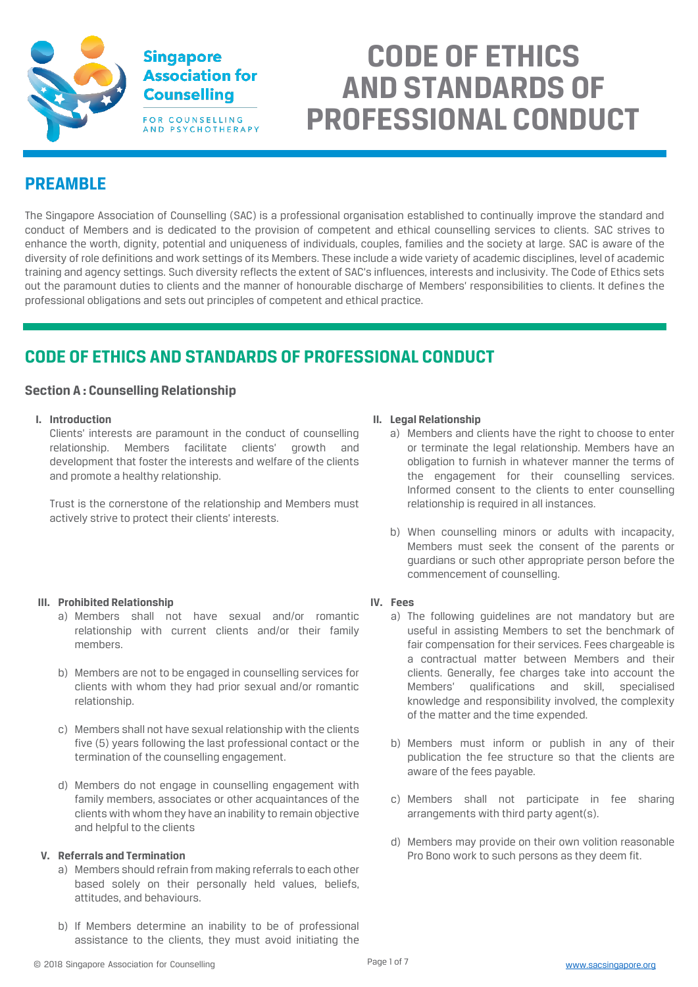

# **CODE OF ETHICS AND STANDARDS OF PROFESSIONAL CONDUCT**

# **PREAMBLE**

The Singapore Association of Counselling (SAC) is a professional organisation established to continually improve the standard and conduct of Members and is dedicated to the provision of competent and ethical counselling services to clients. SAC strives to enhance the worth, dignity, potential and uniqueness of individuals, couples, families and the society at large. SAC is aware of the diversity of role definitions and work settings of its Members. These include a wide variety of academic disciplines, level of academic training and agency settings. Such diversity reflects the extent of SAC's influences, interests and inclusivity. The Code of Ethics sets out the paramount duties to clients and the manner of honourable discharge of Members' responsibilities to clients. It defines the professional obligations and sets out principles of competent and ethical practice.

# **CODE OF ETHICS AND STANDARDS OF PROFESSIONAL CONDUCT**

# **Section A : Counselling Relationship**

**I. Introduction**

Clients' interests are paramount in the conduct of counselling relationship. Members facilitate clients' growth and development that foster the interests and welfare of the clients and promote a healthy relationship.

Trust is the cornerstone of the relationship and Members must actively strive to protect their clients' interests.

# **III. Prohibited Relationship**

- a) Members shall not have sexual and/or romantic relationship with current clients and/or their family members.
- b) Members are not to be engaged in counselling services for clients with whom they had prior sexual and/or romantic relationship.
- c) Members shall not have sexual relationship with the clients five (5) years following the last professional contact or the termination of the counselling engagement.
- d) Members do not engage in counselling engagement with family members, associates or other acquaintances of the clients with whom they have an inability to remain objective and helpful to the clients

#### **V. Referrals and Termination**

- a) Members should refrain from making referrals to each other based solely on their personally held values, beliefs, attitudes, and behaviours.
- b) If Members determine an inability to be of professional assistance to the clients, they must avoid initiating the

#### **II. Legal Relationship**

- a) Members and clients have the right to choose to enter or terminate the legal relationship. Members have an obligation to furnish in whatever manner the terms of the engagement for their counselling services. Informed consent to the clients to enter counselling relationship is required in all instances.
- b) When counselling minors or adults with incapacity, Members must seek the consent of the parents or guardians or such other appropriate person before the commencement of counselling.

#### **IV. Fees**

- a) The following guidelines are not mandatory but are useful in assisting Members to set the benchmark of fair compensation for their services. Fees chargeable is a contractual matter between Members and their clients. Generally, fee charges take into account the Members' qualifications and skill, specialised knowledge and responsibility involved, the complexity of the matter and the time expended.
- b) Members must inform or publish in any of their publication the fee structure so that the clients are aware of the fees payable.
- c) Members shall not participate in fee sharing arrangements with third party agent(s).
- d) Members may provide on their own volition reasonable Pro Bono work to such persons as they deem fit.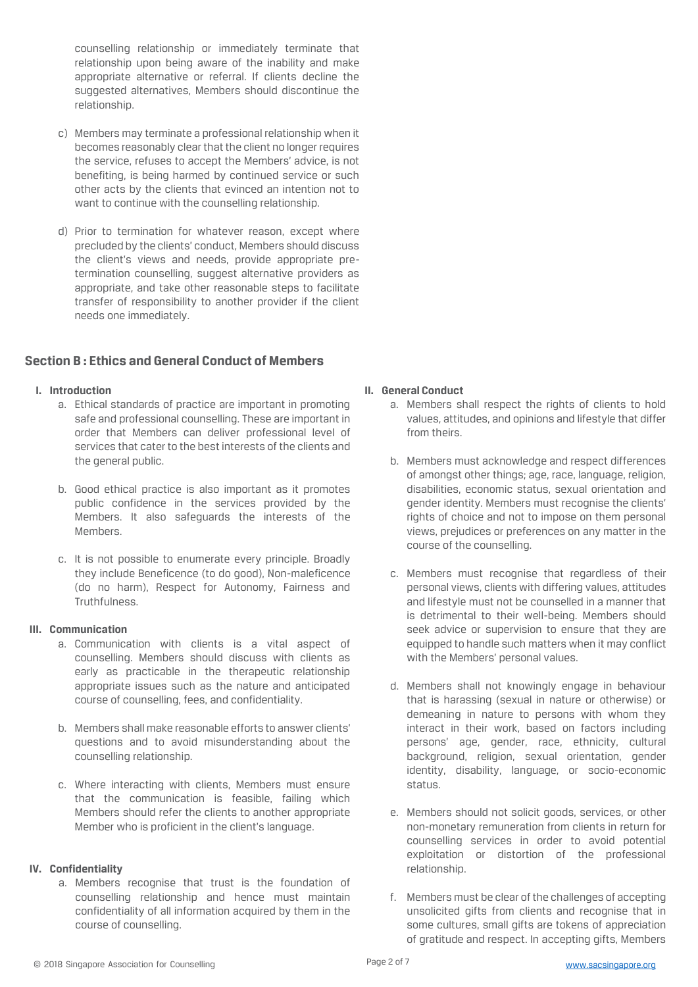counselling relationship or immediately terminate that relationship upon being aware of the inability and make appropriate alternative or referral. If clients decline the suggested alternatives, Members should discontinue the relationship.

- c) Members may terminate a professional relationship when it becomes reasonably clear that the client no longer requires the service, refuses to accept the Members' advice, is not benefiting, is being harmed by continued service or such other acts by the clients that evinced an intention not to want to continue with the counselling relationship.
- d) Prior to termination for whatever reason, except where precluded by the clients' conduct, Members should discuss the client's views and needs, provide appropriate pretermination counselling, suggest alternative providers as appropriate, and take other reasonable steps to facilitate transfer of responsibility to another provider if the client needs one immediately.

# **Section B : Ethics and General Conduct of Members**

#### **I. Introduction**

- a. Ethical standards of practice are important in promoting safe and professional counselling. These are important in order that Members can deliver professional level of services that cater to the best interests of the clients and the general public.
- b. Good ethical practice is also important as it promotes public confidence in the services provided by the Members. It also safeguards the interests of the Members.
- c. It is not possible to enumerate every principle. Broadly they include Beneficence (to do good), Non-maleficence (do no harm), Respect for Autonomy, Fairness and Truthfulness.

#### **III. Communication**

- a. Communication with clients is a vital aspect of counselling. Members should discuss with clients as early as practicable in the therapeutic relationship appropriate issues such as the nature and anticipated course of counselling, fees, and confidentiality.
- b. Members shall make reasonable efforts to answer clients' questions and to avoid misunderstanding about the counselling relationship.
- c. Where interacting with clients, Members must ensure that the communication is feasible, failing which Members should refer the clients to another appropriate Member who is proficient in the client's language.

#### **IV. Confidentiality**

a. Members recognise that trust is the foundation of counselling relationship and hence must maintain confidentiality of all information acquired by them in the course of counselling.

#### **II. General Conduct**

- a. Members shall respect the rights of clients to hold values, attitudes, and opinions and lifestyle that differ from theirs.
- b. Members must acknowledge and respect differences of amongst other things; age, race, language, religion, disabilities, economic status, sexual orientation and gender identity. Members must recognise the clients' rights of choice and not to impose on them personal views, prejudices or preferences on any matter in the course of the counselling.
- c. Members must recognise that regardless of their personal views, clients with differing values, attitudes and lifestyle must not be counselled in a manner that is detrimental to their well-being. Members should seek advice or supervision to ensure that they are equipped to handle such matters when it may conflict with the Members' personal values.
- d. Members shall not knowingly engage in behaviour that is harassing (sexual in nature or otherwise) or demeaning in nature to persons with whom they interact in their work, based on factors including persons' age, gender, race, ethnicity, cultural background, religion, sexual orientation, gender identity, disability, language, or socio-economic status.
- e. Members should not solicit goods, services, or other non-monetary remuneration from clients in return for counselling services in order to avoid potential exploitation or distortion of the professional relationship.
- f. Members must be clear of the challenges of accepting unsolicited gifts from clients and recognise that in some cultures, small gifts are tokens of appreciation of gratitude and respect. In accepting gifts, Members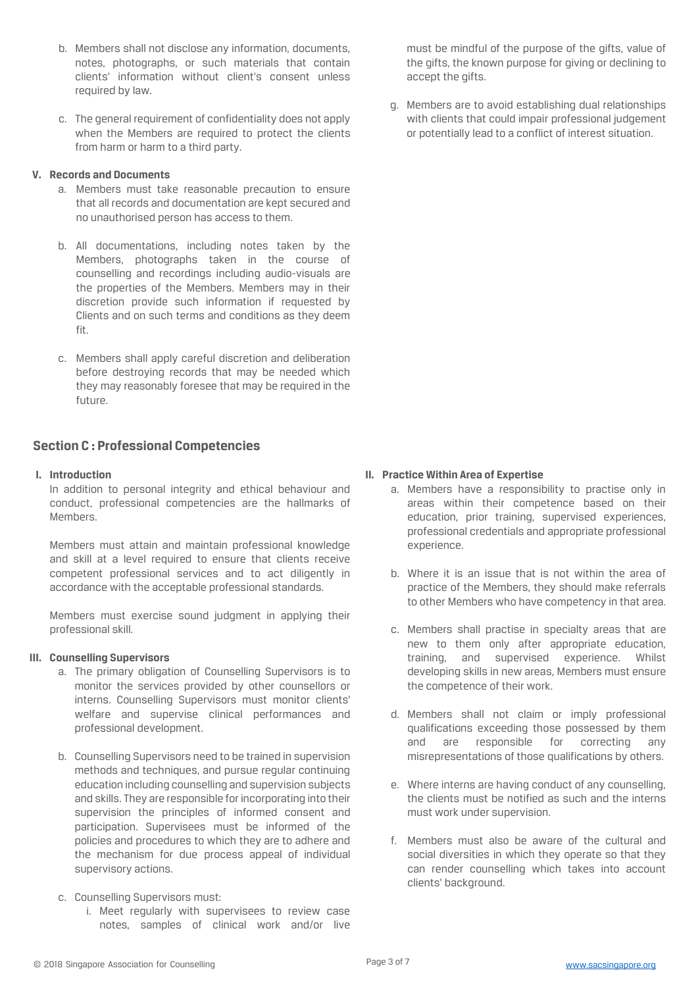- b. Members shall not disclose any information, documents, notes, photographs, or such materials that contain clients' information without client's consent unless required by law.
- c. The general requirement of confidentiality does not apply when the Members are required to protect the clients from harm or harm to a third party.

#### **V. Records and Documents**

- a. Members must take reasonable precaution to ensure that all records and documentation are kept secured and no unauthorised person has access to them.
- b. All documentations, including notes taken by the Members, photographs taken in the course of counselling and recordings including audio-visuals are the properties of the Members. Members may in their discretion provide such information if requested by Clients and on such terms and conditions as they deem fit.
- c. Members shall apply careful discretion and deliberation before destroying records that may be needed which they may reasonably foresee that may be required in the future.

# **Section C : Professional Competencies**

#### **I. Introduction**

In addition to personal integrity and ethical behaviour and conduct, professional competencies are the hallmarks of Members.

Members must attain and maintain professional knowledge and skill at a level required to ensure that clients receive competent professional services and to act diligently in accordance with the acceptable professional standards.

Members must exercise sound judgment in applying their professional skill.

#### **III. Counselling Supervisors**

- a. The primary obligation of Counselling Supervisors is to monitor the services provided by other counsellors or interns. Counselling Supervisors must monitor clients' welfare and supervise clinical performances and professional development.
- b. Counselling Supervisors need to be trained in supervision methods and techniques, and pursue regular continuing education including counselling and supervision subjects and skills. They are responsible for incorporating into their supervision the principles of informed consent and participation. Supervisees must be informed of the policies and procedures to which they are to adhere and the mechanism for due process appeal of individual supervisory actions.
- c. Counselling Supervisors must:
	- i. Meet regularly with supervisees to review case notes, samples of clinical work and/or live

must be mindful of the purpose of the gifts, value of the gifts, the known purpose for giving or declining to accept the gifts.

g. Members are to avoid establishing dual relationships with clients that could impair professional judgement or potentially lead to a conflict of interest situation.

#### **II. Practice Within Area of Expertise**

- a. Members have a responsibility to practise only in areas within their competence based on their education, prior training, supervised experiences, professional credentials and appropriate professional experience.
- b. Where it is an issue that is not within the area of practice of the Members, they should make referrals to other Members who have competency in that area.
- c. Members shall practise in specialty areas that are new to them only after appropriate education, training, and supervised experience. Whilst developing skills in new areas, Members must ensure the competence of their work.
- d. Members shall not claim or imply professional qualifications exceeding those possessed by them and are responsible for correcting any misrepresentations of those qualifications by others.
- e. Where interns are having conduct of any counselling, the clients must be notified as such and the interns must work under supervision.
- f. Members must also be aware of the cultural and social diversities in which they operate so that they can render counselling which takes into account clients' background.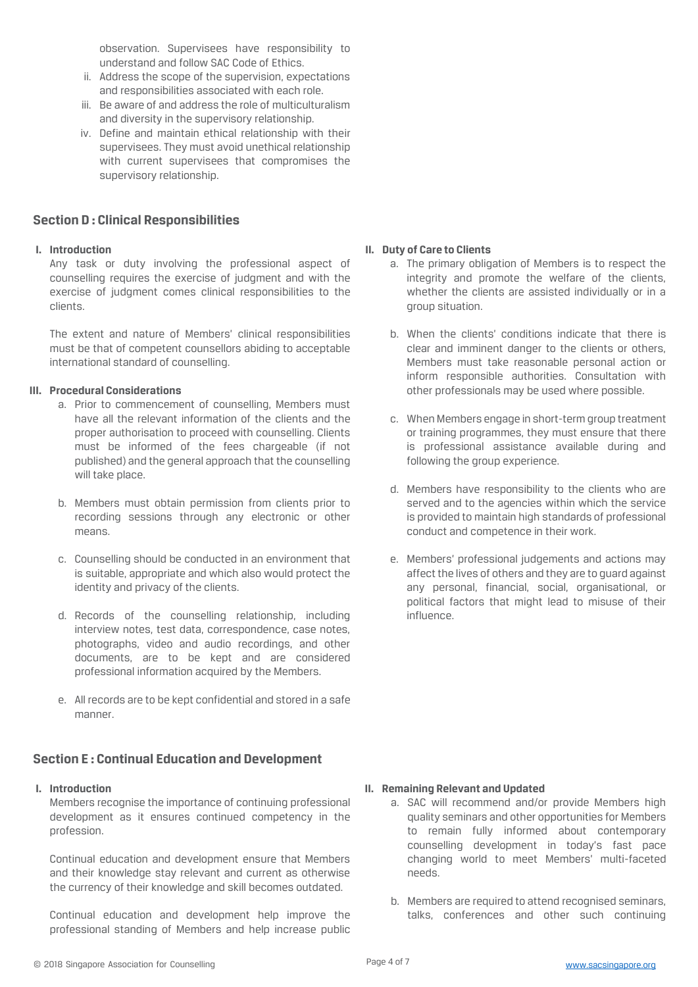observation. Supervisees have responsibility to understand and follow SAC Code of Ethics.

- ii. Address the scope of the supervision, expectations and responsibilities associated with each role.
- iii. Be aware of and address the role of multiculturalism and diversity in the supervisory relationship.
- iv. Define and maintain ethical relationship with their supervisees. They must avoid unethical relationship with current supervisees that compromises the supervisory relationship.

# **Section D : Clinical Responsibilities**

#### **I. Introduction**

Any task or duty involving the professional aspect of counselling requires the exercise of judgment and with the exercise of judgment comes clinical responsibilities to the clients.

The extent and nature of Members' clinical responsibilities must be that of competent counsellors abiding to acceptable international standard of counselling.

#### **III. Procedural Considerations**

- a. Prior to commencement of counselling, Members must have all the relevant information of the clients and the proper authorisation to proceed with counselling. Clients must be informed of the fees chargeable (if not published) and the general approach that the counselling will take place.
- b. Members must obtain permission from clients prior to recording sessions through any electronic or other means.
- c. Counselling should be conducted in an environment that is suitable, appropriate and which also would protect the identity and privacy of the clients.
- d. Records of the counselling relationship, including interview notes, test data, correspondence, case notes, photographs, video and audio recordings, and other documents, are to be kept and are considered professional information acquired by the Members.
- e. All records are to be kept confidential and stored in a safe manner.

# **Section E : Continual Education and Development**

#### **I. Introduction**

Members recognise the importance of continuing professional development as it ensures continued competency in the profession.

Continual education and development ensure that Members and their knowledge stay relevant and current as otherwise the currency of their knowledge and skill becomes outdated.

Continual education and development help improve the professional standing of Members and help increase public

#### **II. Duty of Care to Clients**

- a. The primary obligation of Members is to respect the integrity and promote the welfare of the clients, whether the clients are assisted individually or in a group situation.
- b. When the clients' conditions indicate that there is clear and imminent danger to the clients or others, Members must take reasonable personal action or inform responsible authorities. Consultation with other professionals may be used where possible.
- c. When Members engage in short-term group treatment or training programmes, they must ensure that there is professional assistance available during and following the group experience.
- d. Members have responsibility to the clients who are served and to the agencies within which the service is provided to maintain high standards of professional conduct and competence in their work.
- e. Members' professional judgements and actions may affect the lives of others and they are to guard against any personal, financial, social, organisational, or political factors that might lead to misuse of their influence.

#### **II. Remaining Relevant and Updated**

- a. SAC will recommend and/or provide Members high quality seminars and other opportunities for Members to remain fully informed about contemporary counselling development in today's fast pace changing world to meet Members' multi-faceted needs.
- b. Members are required to attend recognised seminars, talks, conferences and other such continuing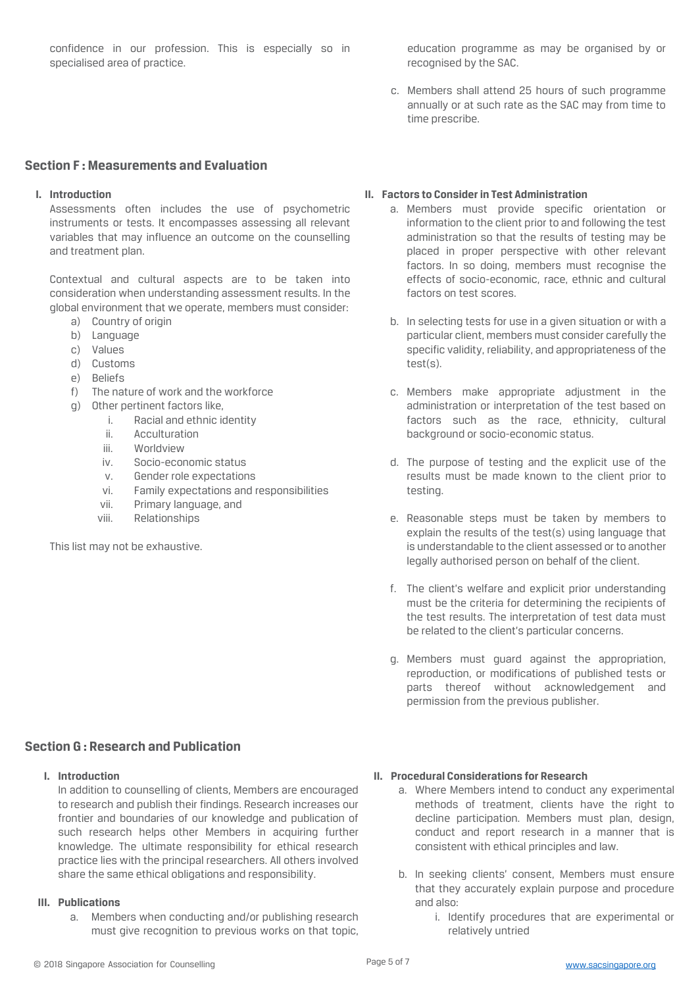confidence in our profession. This is especially so in specialised area of practice.

education programme as may be organised by or recognised by the SAC.

c. Members shall attend 25 hours of such programme annually or at such rate as the SAC may from time to time prescribe.

# **Section F : Measurements and Evaluation**

#### **I. Introduction**

Assessments often includes the use of psychometric instruments or tests. It encompasses assessing all relevant variables that may influence an outcome on the counselling and treatment plan.

Contextual and cultural aspects are to be taken into consideration when understanding assessment results. In the global environment that we operate, members must consider:

- a) Country of origin
- b) Language
- c) Values
- d) Customs
- e) Beliefs
- f) The nature of work and the workforce
- g) Other pertinent factors like,
	- i. Racial and ethnic identity
	- ii. Acculturation
	- iii. Worldview
	- iv. Socio-economic status
	- v. Gender role expectations
	- vi. Family expectations and responsibilities
	- vii. Primary language, and
	- viii. Relationships

This list may not be exhaustive.

#### **II. Factors to Consider in Test Administration**

- a. Members must provide specific orientation or information to the client prior to and following the test administration so that the results of testing may be placed in proper perspective with other relevant factors. In so doing, members must recognise the effects of socio-economic, race, ethnic and cultural factors on test scores.
- b. In selecting tests for use in a given situation or with a particular client, members must consider carefully the specific validity, reliability, and appropriateness of the test(s).
- c. Members make appropriate adjustment in the administration or interpretation of the test based on factors such as the race, ethnicity, cultural background or socio-economic status.
- d. The purpose of testing and the explicit use of the results must be made known to the client prior to testing.
- e. Reasonable steps must be taken by members to explain the results of the test(s) using language that is understandable to the client assessed or to another legally authorised person on behalf of the client.
- f. The client's welfare and explicit prior understanding must be the criteria for determining the recipients of the test results. The interpretation of test data must be related to the client's particular concerns.
- g. Members must guard against the appropriation, reproduction, or modifications of published tests or parts thereof without acknowledgement and permission from the previous publisher.

# **Section G : Research and Publication**

**I. Introduction**

In addition to counselling of clients, Members are encouraged to research and publish their findings. Research increases our frontier and boundaries of our knowledge and publication of such research helps other Members in acquiring further knowledge. The ultimate responsibility for ethical research practice lies with the principal researchers. All others involved share the same ethical obligations and responsibility.

#### **III. Publications**

a. Members when conducting and/or publishing research must give recognition to previous works on that topic,

#### **II. Procedural Considerations for Research**

- a. Where Members intend to conduct any experimental methods of treatment, clients have the right to decline participation. Members must plan, design, conduct and report research in a manner that is consistent with ethical principles and law.
- b. In seeking clients' consent, Members must ensure that they accurately explain purpose and procedure and also:
	- i. Identify procedures that are experimental or relatively untried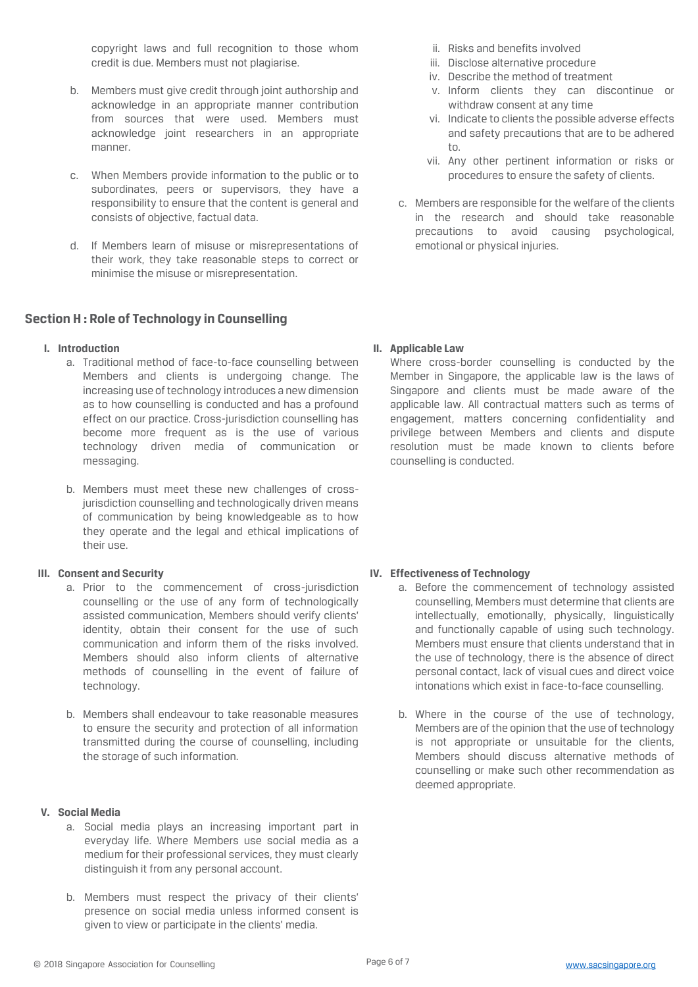copyright laws and full recognition to those whom credit is due. Members must not plagiarise.

- b. Members must give credit through joint authorship and acknowledge in an appropriate manner contribution from sources that were used. Members must acknowledge joint researchers in an appropriate manner.
- c. When Members provide information to the public or to subordinates, peers or supervisors, they have a responsibility to ensure that the content is general and consists of objective, factual data.
- d. If Members learn of misuse or misrepresentations of their work, they take reasonable steps to correct or minimise the misuse or misrepresentation.

# **Section H : Role of Technology in Counselling**

#### **I. Introduction**

- a. Traditional method of face-to-face counselling between Members and clients is undergoing change. The increasing use of technology introduces a new dimension as to how counselling is conducted and has a profound effect on our practice. Cross-jurisdiction counselling has become more frequent as is the use of various technology driven media of communication or messaging.
- b. Members must meet these new challenges of crossjurisdiction counselling and technologically driven means of communication by being knowledgeable as to how they operate and the legal and ethical implications of their use.

#### **III. Consent and Security**

- a. Prior to the commencement of cross-jurisdiction counselling or the use of any form of technologically assisted communication, Members should verify clients' identity, obtain their consent for the use of such communication and inform them of the risks involved. Members should also inform clients of alternative methods of counselling in the event of failure of technology.
- b. Members shall endeavour to take reasonable measures to ensure the security and protection of all information transmitted during the course of counselling, including the storage of such information.

#### **V. Social Media**

- a. Social media plays an increasing important part in everyday life. Where Members use social media as a medium for their professional services, they must clearly distinguish it from any personal account.
- b. Members must respect the privacy of their clients' presence on social media unless informed consent is given to view or participate in the clients' media.
- ii. Risks and benefits involved
- iii. Disclose alternative procedure
- iv. Describe the method of treatment
- v. Inform clients they can discontinue or withdraw consent at any time
- vi. Indicate to clients the possible adverse effects and safety precautions that are to be adhered to.
- vii. Any other pertinent information or risks or procedures to ensure the safety of clients.
- c. Members are responsible for the welfare of the clients in the research and should take reasonable precautions to avoid causing psychological, emotional or physical injuries.

#### **II. Applicable Law**

Where cross-border counselling is conducted by the Member in Singapore, the applicable law is the laws of Singapore and clients must be made aware of the applicable law. All contractual matters such as terms of engagement, matters concerning confidentiality and privilege between Members and clients and dispute resolution must be made known to clients before counselling is conducted.

# **IV. Effectiveness of Technology**

- a. Before the commencement of technology assisted counselling, Members must determine that clients are intellectually, emotionally, physically, linguistically and functionally capable of using such technology. Members must ensure that clients understand that in the use of technology, there is the absence of direct personal contact, lack of visual cues and direct voice intonations which exist in face-to-face counselling.
- b. Where in the course of the use of technology, Members are of the opinion that the use of technology is not appropriate or unsuitable for the clients, Members should discuss alternative methods of counselling or make such other recommendation as deemed appropriate.